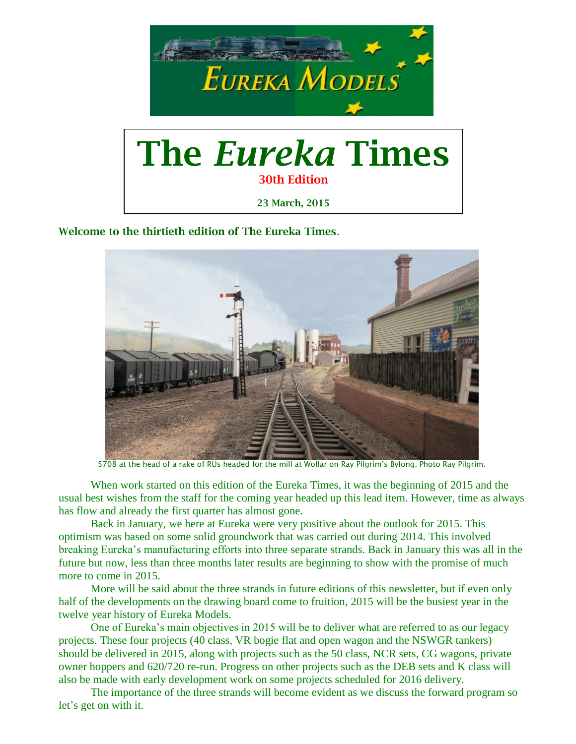

**Welcome to the thirtieth edition of The Eureka Times**.



5708 at the head of a rake of RUs headed for the mill at Wollar on Ray Pilgrim's Bylong. Photo Ray Pilgrim.

When work started on this edition of the Eureka Times, it was the beginning of 2015 and the usual best wishes from the staff for the coming year headed up this lead item. However, time as always has flow and already the first quarter has almost gone.

Back in January, we here at Eureka were very positive about the outlook for 2015. This optimism was based on some solid groundwork that was carried out during 2014. This involved breaking Eureka's manufacturing efforts into three separate strands. Back in January this was all in the future but now, less than three months later results are beginning to show with the promise of much more to come in 2015.

More will be said about the three strands in future editions of this newsletter, but if even only half of the developments on the drawing board come to fruition, 2015 will be the busiest year in the twelve year history of Eureka Models.

One of Eureka's main objectives in 2015 will be to deliver what are referred to as our legacy projects. These four projects (40 class, VR bogie flat and open wagon and the NSWGR tankers) should be delivered in 2015, along with projects such as the 50 class, NCR sets, CG wagons, private owner hoppers and 620/720 re-run. Progress on other projects such as the DEB sets and K class will also be made with early development work on some projects scheduled for 2016 delivery.

The importance of the three strands will become evident as we discuss the forward program so let's get on with it.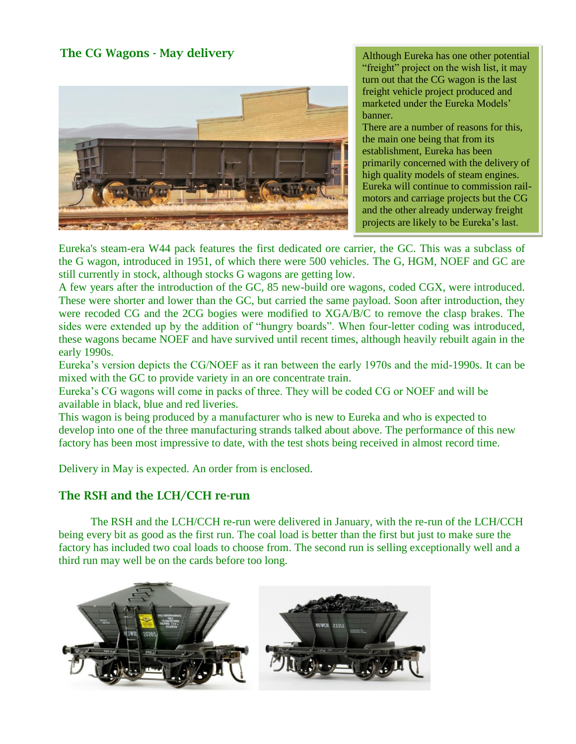## **The CG Wagons - May delivery**



Although Eureka has one other potential "freight" project on the wish list, it may turn out that the CG wagon is the last freight vehicle project produced and marketed under the Eureka Models' banner.

There are a number of reasons for this, the main one being that from its establishment, Eureka has been primarily concerned with the delivery of high quality models of steam engines. Eureka will continue to commission railmotors and carriage projects but the CG and the other already underway freight projects are likely to be Eureka's last.

Eureka's steam-era W44 pack features the first dedicated ore carrier, the GC. This was a subclass of the G wagon, introduced in 1951, of which there were 500 vehicles. The G, HGM, NOEF and GC are still currently in stock, although stocks G wagons are getting low.

A few years after the introduction of the GC, 85 new-build ore wagons, coded CGX, were introduced. These were shorter and lower than the GC, but carried the same payload. Soon after introduction, they were recoded CG and the 2CG bogies were modified to XGA/B/C to remove the clasp brakes. The sides were extended up by the addition of "hungry boards". When four-letter coding was introduced, these wagons became NOEF and have survived until recent times, although heavily rebuilt again in the early 1990s.

Eureka's version depicts the CG/NOEF as it ran between the early 1970s and the mid-1990s. It can be mixed with the GC to provide variety in an ore concentrate train.

Eureka's CG wagons will come in packs of three. They will be coded CG or NOEF and will be available in black, blue and red liveries.

This wagon is being produced by a manufacturer who is new to Eureka and who is expected to develop into one of the three manufacturing strands talked about above. The performance of this new factory has been most impressive to date, with the test shots being received in almost record time.

Delivery in May is expected. An order from is enclosed.

#### **The RSH and the LCH/CCH re-run**

The RSH and the LCH/CCH re-run were delivered in January, with the re-run of the LCH/CCH being every bit as good as the first run. The coal load is better than the first but just to make sure the factory has included two coal loads to choose from. The second run is selling exceptionally well and a third run may well be on the cards before too long.

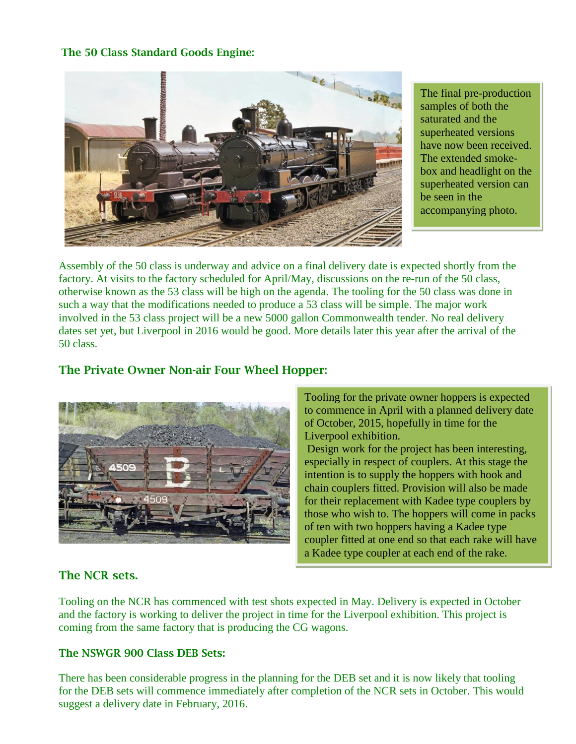#### **The 50 Class Standard Goods Engine:**



The final pre-production samples of both the saturated and the superheated versions have now been received. The extended smokebox and headlight on the superheated version can be seen in the accompanying photo.

Assembly of the 50 class is underway and advice on a final delivery date is expected shortly from the factory. At visits to the factory scheduled for April/May, discussions on the re-run of the 50 class, otherwise known as the 53 class will be high on the agenda. The tooling for the 50 class was done in such a way that the modifications needed to produce a 53 class will be simple. The major work involved in the 53 class project will be a new 5000 gallon Commonwealth tender. No real delivery dates set yet, but Liverpool in 2016 would be good. More details later this year after the arrival of the 50 class.



#### **The Private Owner Non-air Four Wheel Hopper:**

Tooling for the private owner hoppers is expected to commence in April with a planned delivery date of October, 2015, hopefully in time for the Liverpool exhibition.

Design work for the project has been interesting, especially in respect of couplers. At this stage the intention is to supply the hoppers with hook and chain couplers fitted. Provision will also be made for their replacement with Kadee type couplers by those who wish to. The hoppers will come in packs of ten with two hoppers having a Kadee type coupler fitted at one end so that each rake will have a Kadee type coupler at each end of the rake.

## **The NCR sets.**

Tooling on the NCR has commenced with test shots expected in May. Delivery is expected in October and the factory is working to deliver the project in time for the Liverpool exhibition. This project is coming from the same factory that is producing the CG wagons.

#### **The NSWGR 900 Class DEB Sets:**

There has been considerable progress in the planning for the DEB set and it is now likely that tooling for the DEB sets will commence immediately after completion of the NCR sets in October. This would suggest a delivery date in February, 2016.